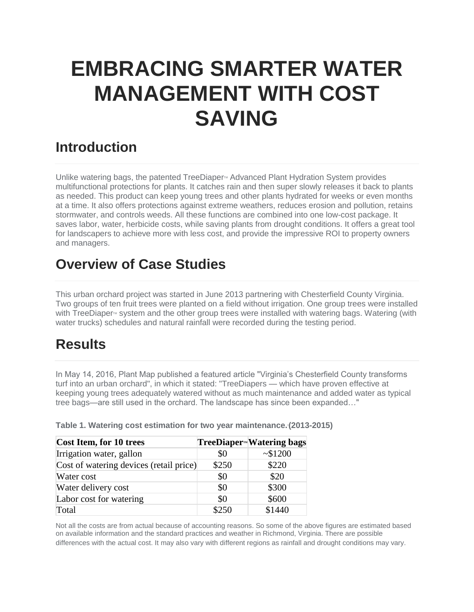## **EMBRACING SMARTER WATER MANAGEMENT WITH COST SAVING**

## **Introduction**

Unlike watering bags, the patented TreeDiaper<sup>M</sup> Advanced Plant Hydration System provides multifunctional protections for plants. It catches rain and then super slowly releases it back to plants as needed. This product can keep young trees and other plants hydrated for weeks or even months at a time. It also offers protections against extreme weathers, reduces erosion and pollution, retains stormwater, and controls weeds. All these functions are combined into one low-cost package. It saves labor, water, herbicide costs, while saving plants from drought conditions. It offers a great tool for landscapers to achieve more with less cost, and provide the impressive ROI to property owners and managers.

## **Overview of Case Studies**

This urban orchard project was started in June 2013 partnering with Chesterfield County Virginia. Two groups of ten fruit trees were planted on a field without irrigation. One group trees were installed with TreeDiaper<sup>®</sup> system and the other group trees were installed with watering bags. Watering (with water trucks) schedules and natural rainfall were recorded during the testing period.

## **Results**

In May 14, 2016, Plant Map published a featured article "Virginia's Chesterfield County transforms turf into an urban orchard", in which it stated: "TreeDiapers — which have proven effective at keeping young trees adequately watered without as much maintenance and added water as typical tree bags—are still used in the orchard. The landscape has since been expanded…"

| Cost Item, for 10 trees                 |       | TreeDiaper <sup>M</sup> Watering bags |
|-----------------------------------------|-------|---------------------------------------|
| Irrigation water, gallon                | \$0   | ~1200                                 |
| Cost of watering devices (retail price) | \$250 | \$220                                 |
| Water cost                              | \$0   | \$20                                  |
| Water delivery cost                     | \$0   | \$300                                 |
| Labor cost for watering                 | \$0   | \$600                                 |
| Total                                   | \$250 | \$1440                                |

**Table 1. Watering cost estimation for two year maintenance.\*(2013-2015)**

Not all the costs are from actual because of accounting reasons. So some of the above figures are estimated based on available information and the standard practices and weather in Richmond, Virginia. There are possible differences with the actual cost. It may also vary with different regions as rainfall and drought conditions may vary.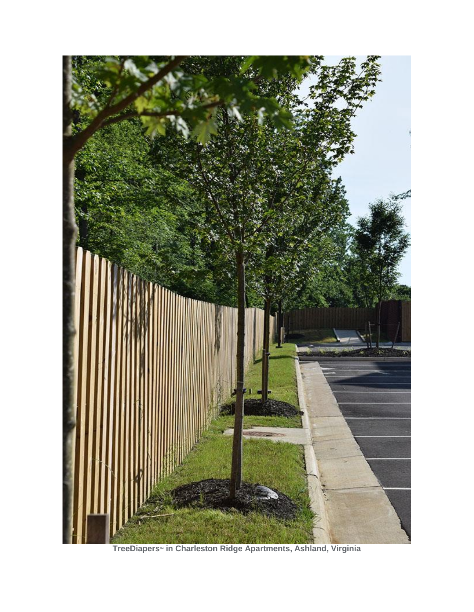

**TreeDiapers<sup>™</sup> in Charleston Ridge Apartments, Ashland, Virginia**